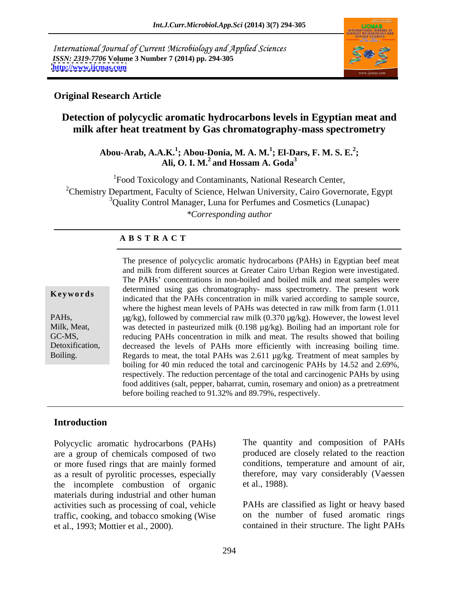International Journal of Current Microbiology and Applied Sciences *ISSN: 2319-7706* **Volume 3 Number 7 (2014) pp. 294-305 <http://www.ijcmas.com>**



### **Original Research Article**

## **Detection of polycyclic aromatic hydrocarbons levels in Egyptian meat and milk after heat treatment by Gas chromatography-mass spectrometry**

Abou-Arab, A.A.K.<sup>1</sup>; Abou-Donia, M. A. M.<sup>1</sup>; El-Dars, F. M. S. E.<sup>2</sup>; **; El-Dars, F. M. S. E.<sup>2</sup> ; Ali, O. I. M.<sup>2</sup> and Hossam A. Goda<sup>3</sup>**

<sup>1</sup>Food Toxicology and Contaminants, National Research Center, <sup>2</sup>Chemistry Department, Faculty of Science, Helwan University, Cairo Governorate, Egypt <sup>3</sup>Quality Control Manager, Luna for Perfumes and Cosmetics (Lunapac) *\*Corresponding author* 

### **A B S T R A C T**

**Keywords**indicated that the PAHs concentration in milk varied according to sample source, PAHs, https://www.fathermultime.commercial raw milk (0.370 µg/kg). However, the lowest level Milk, Meat, was detected in pasteurized milk (0.198 µg/kg). Boiling had an important role for GC-MS, reducing PAHs concentration in milk and meat. The results showed that boiling Detoxification, decreased the levels of PAHs more efficiently with increasing boiling time. Boiling. Regards to meat, the total PAHs was 2.611 µg/kg. Treatment of meat samples by The presence of polycyclic aromatic hydrocarbons (PAHs) in Egyptian beef meat and milk from different sources at Greater Cairo Urban Region were investigated. The PAHs' concentrations in non-boiled and boiled milk and meat samples were determined using gas chromatography- mass spectrometry. The present work where the highest mean levels of PAHs was detected in raw milk from farm (1.011 boiling for 40 min reduced the total and carcinogenic PAHs by 14.52 and 2.69%, respectively. The reduction percentage of the total and carcinogenic PAHs by using food additives (salt, pepper, baharrat, cumin, rosemary and onion) as a pretreatment before boiling reached to 91.32% and 89.79%, respectively.

## **Introduction**

Polycyclic aromatic hydrocarbons (PAHs) The quantity and composition of PAHs are a group of chemicals composed of two produced are closely related to the reaction or more fused rings that are mainly formed as a result of pyrolitic processes, especially the incomplete combustion of organic et al., 1988). materials during industrial and other human activities such as processing of coal, vehicle traffic, cooking, and tobacco smoking (Wise Polycyclic aromatic hydrocarbons (PAHs) The quantity and composition of PAHs<br>are a group of chemicals composed of two<br>or more fused rings that are mainly formed conditions, temperature and amount of air,<br>as a result of pyr

conditions, temperature and amount of air, therefore, may vary considerably (Vaessen et al., 1988).

PAHs are classified as light or heavy based on the number of fused aromatic rings contained in their structure. The light PAHs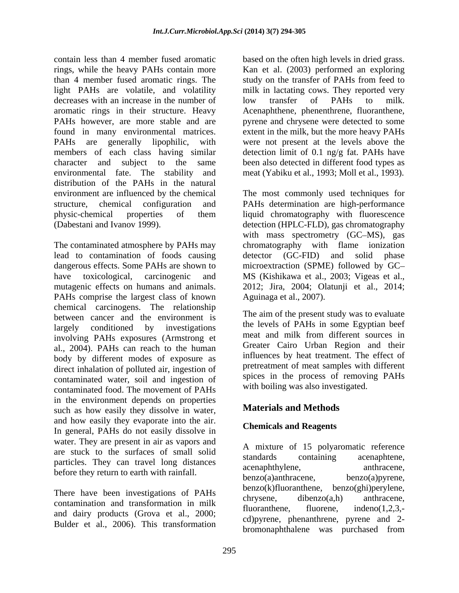contain less than 4 member fused aromatic based on the often high levels in dried grass. rings, while the heavy PAHs contain more Kan et al. (2003) performed an exploring than 4 member fused aromatic rings. The light PAHs are volatile, and volatility milk in lactating cows. They reported very decreases with an increase in the number of low transfer of PAHs to milk. aromatic rings in their structure. Heavy Acenaphthene, phenenthrene, fluoranthene, PAHs however, are more stable and are pyrene and chrysene were detected to some found in many environmental matrices. extent in the milk, but the more heavy PAHs PAHs are generally lipophilic, with were not present at the levels above the members of each class having similar detection limit of 0.1 ng/g fat. PAHs have character and subject to the same been also detected in different food types as environmental fate. The stability and meat (Yabiku et al., 1993; Moll et al., 1993). distribution of the PAHs in the natural environment are influenced by the chemical The most commonly used techniques for structure, chemical configuration and PAHs determination are high-performance physic-chemical properties of them liquid chromatography with fluorescence (Dabestani and Ivanov 1999). detection (HPLC-FLD), gas chromatography

The contaminated atmosphere by PAHs may chromatography with flame ionization lead to contamination of foods causing detector (GC-FID) and solid phase dangerous effects. Some PAHs are shown to microextraction (SPME) followed by GC have toxicological, carcinogenic and MS (Kishikawa et al., 2003; Vigeas et al., mutagenic effects on humans and animals. 2012; Jira, 2004; Olatunii et al., 2014; PAHs comprise the largest class of known chemical carcinogens. The relationship between cancer and the environment is largely conditioned by investigations the levels of PAHs in some Egyptian beet<br>investigation DAHs syncomes (American et meat and milk from different sources in involving PAHs exposures (Armstrong et al., 2004). PAHs can reach to the human body by different modes of exposure as direct inhalation of polluted air, ingestion of contaminated water, soil and ingestion of contaminated food. The movement of PAHs in the environment depends on properties<br>
waterials and Methods<br>
Waterials and Methods such as how easily they dissolve in water, and how easily they evaporate into the air. In general, PAHs do not easily dissolve in water. They are present in air as vapors and are stuck to the surfaces of small solid<br>standards containing acenaphtene, particles. They can travel long distances standards containing acenaphtene,<br>acenaphthylene. anthracene.

There have been investigations of PAHs  $\alpha$  chrysene, dibenzo(a,h) anthracene, contamination and transformation in milk<br>fluoranthene. fluorene, indeno(1.2.3,and dairy products (Grova et al., 2000; Bulder et al., 2006). This transformation

study on the transfer of PAHs from feed to low transfer of PAHs to milk.

with mass spectrometry (GC-MS), gas detector (GC-FID) and solid phase MS (Kishikawa et al., 2003; Vigeas et al., 2012; Jira, 2004; Olatunji et al., 2014; Aguinaga et al., 2007).

The aim of the present study was to evaluate the levels of PAHs in some Egyptian beef meat and milk from different sources in Greater Cairo Urban Region and their influences by heat treatment. The effect of pretreatment of meat samples with different spices in the process of removing PAHs with boiling was also investigated.

# **Materials and Methods**

### **Chemicals and Reagents**

before they return to earth with rainfall.<br>benzo(a)anthracene, benzo(a)pyrene, A mixture of 15 polyaromatic reference standards containing acenaphtene, acenaphthylene, anthracene, anthracene,  $benzo(a)$ anthracene, benzo(k)fluoranthene, benzo(ghi)perylene, chrysene, dibenzo(a,h) anthracene, fluoranthene, fluorene, indeno(1,2,3, cd)pyrene, phenanthrene, pyrene and 2 bromonaphthalene was purchased from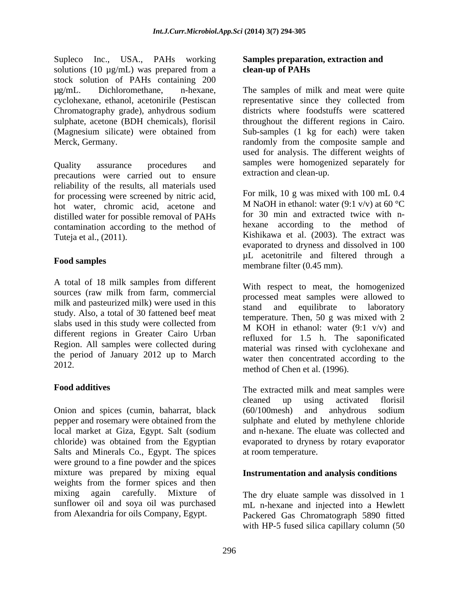Supleco Inc., USA., PAHs working solutions (10  $\mu$ g/mL) was prepared from a clean-up of PAHs stock solution of PAHs containing 200

precautions were carried out to ensure reliability of the results, all materials used for processing were screened by nitric acid, hot water, chromic acid, acetone and distilled water for possible removal of PAHs contamination according to the method of Tuteja et al., (2011). Kishikawa et al. (2003). The extract was

A total of 18 milk samples from different sources (raw milk from farm, commercial milk and pasteurized milk) were used in this stand and equilibrate to laboratory study. Also, a total of 30 fattened beef meat slabs used in this study were collected from different regions in Greater Cairo Urban Region. All samples were collected during the period of January 2012 up to March

Onion and spices (cumin, baharrat, black (60/100mesh) and anhydrous sodium pepper and rosemary were obtained from the local market at Giza, Egypt. Salt (sodium local market at Giza, Egypt. Salt (sodium and n-hexane. The eluate was collected and chloride) was obtained from the Egyptian evaporated to dryness by rotary evaporator Salts and Minerals Co., Egypt. The spices were ground to a fine powder and the spices mixture was prepared by mixing equal **Instrumentation and analysis conditions** weights from the former spices and then mixing again carefully. Mixture of The dry eluate sample was dissolved in 1 sunflower oil and soya oil was purchased mL n-hexane and injected into a Hewlett

### **Samples preparation, extraction and clean-up of PAHs**

µg/mL. Dichloromethane, n-hexane, The samples of milk and meat were quite cyclohexane, ethanol, acetonirile (Pestiscan representative since they collected from Chromatography grade), anhydrous sodium districts where foodstuffs were scattered sulphate, acetone (BDH chemicals), florisil throughout the different regions in Cairo. (Magnesium silicate) were obtained from Sub-samples (1 kg for each) were taken Merck, Germany. The composite sample and randomly from the composite sample and Quality assurance procedures and samples were homogenized separately for used for analysis. The different weights of extraction and clean-up.

Food samples months and the community and the community and the community of the samples For milk, 10 g was mixed with 100 mL 0.4 M NaOH in ethanol: water (9:1 v/v) at 60  $^{\circ}$ C for 30 min and extracted twice with n hexane according to the method of evaporated to dryness and dissolved in 100 µL acetonitrile and filtered through a membrane filter (0.45 mm).

2012.<br>
method of Chen et al. (1996). With respect to meat, the homogenized processed meat samples were allowed to stand and equilibrate to laboratory temperature. Then, 50 g was mixed with 2 M KOH in ethanol: water  $(9:1 \text{ v/v})$  and refluxed for 1.5 h. The saponificated material was rinsed with cyclohexane and water then concentrated according to the

Food additives **Food additives The extracted milk and meat samples were** cleaned up using activated florisil (60/100mesh) and anhydrous sodium sulphate and eluted by methylene chloride at room temperature.

from Alexandria for oils Company, Egypt. Packered Gas Chromatograph 5890 fitted with HP-5 fused silica capillary column (50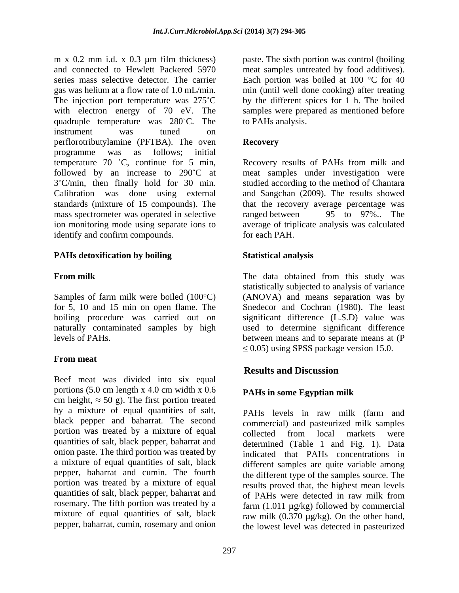m x 0.2 mm i.d. x 0.3 µm film thickness) paste. The sixth portion was control (boiling and connected to Hewlett Packered 5970 meat samples untreated by food additives). series mass selective detector. The carrier Each portion was boiled at 100 °C for 40 gas was helium at a flow rate of 1.0 mL/min. min (until well done cooking) after treating The injection port temperature was  $275^{\circ}$ C with electron energy of 70 eV. The quadruple temperature was 280 C. The instrument was tuned on perflorotributylamine (PFTBA). The oven programme was as follows; initial temperature 70 °C, continue for 5 min, Recovery results of PAHs from milk and followed by an increase to 290°C at meat samples under investigation were 3°C/min, then finally hold for 30 min. studied according to the method of Chantara<br>Calibration was done using external and Sangchan (2009). The results showed standards (mixture of 15 compounds). The that the recovery average percentage was mass spectrometer was operated in selective ranged between 95 to 97%. The ion monitoring mode using separate ions to average of triplicate analysis was calculated identify and confirm compounds. for each PAH.

### **PAHs detoxification by boiling**

for 5, 10 and 15 min on open flame. The

## **From meat**

Beef meat was divided into six equal portions (5.0 cm length x 4.0 cm width x 0.6 cm height,  $\approx$  50 g). The first portion treated by a mixture of equal quantities of salt, PAHs levels in raw milk (farm and black pepper and baharrat. The second portion was treated by a mixture of equal quantities of salt, black pepper, baharrat and onion paste. The third portion was treated by a mixture of equal quantities of salt, black pepper, baharrat and cumin. The fourth the different type of the samples source. The portion was treated by a mixture of equal quantities of salt, black pepper, baharrat and of PAHs were detected in raw milk from rosemary. The fifth portion was treated by a mixture of equal quantities of salt, black<br>pepper, baharrat, cumin, rosemary and onion

by the different spices for 1 h. The boiled samples were prepared as mentioned before to PAHs analysis.

### **Recovery**

studied according to the method of Chantara and Sangchan (2009). The results showed ranged between 95 to 97%.. The for each PAH.

### **Statistical analysis**

**From milk Example 3 The data obtained from this study was** Samples of farm milk were boiled (100°C) (ANOVA) and means separation was by boiling procedure was carried out on significant difference (L.S.D) value was naturally contaminated samples by high used to determine significant difference levels of PAHs. between means and to separate means at (P statistically subjected to analysis of variance Snedecor and Cochran (1980). The least  $\leq$  0.05) using SPSS package version 15.0.

## **Results and Discussion**

### **PAHs in some Egyptian milk**

pepper, baharrat, cumin, rosemary and onion the lowest level was detected in pasteurized PAHs levels in raw milk (farm and commercial) and pasteurized milk samples collected from local markets were determined (Table 1 and Fig. 1). Data indicated that PAHs concentrations in different samples are quite variable among results proved that, the highest mean levels of PAHs were detected in raw milk from farm  $(1.011 \mu g/kg)$  followed by commercial raw milk  $(0.370 \mu g/kg)$ . On the other hand,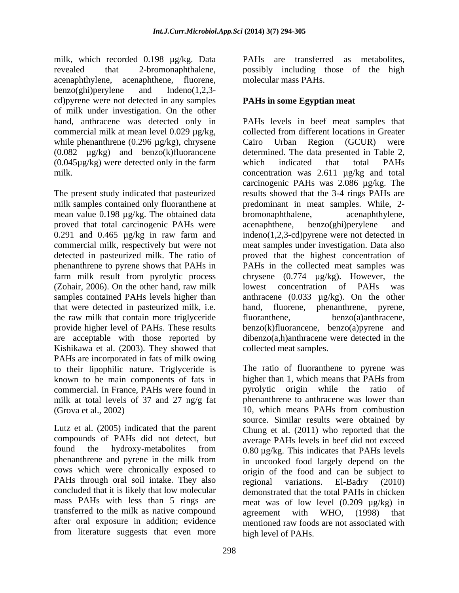milk, which recorded 0.198 µg/kg. Data revealed that 2-bromonaphthalene, possibly including those of the high acenaphthylene, acenaphthene, fluorene, benzo(ghi)perylene and Indeno(1,2,3 cd)pyrene were not detected in any samples of milk under investigation. On the other commercial milk at mean level 0.029  $\mu$ g/kg, collected from different locations in Greater while phenanthrene  $(0.296 \mu g/kg)$ , chrysene Cairo Urban Region  $(GCUR)$  were  $(0.082 \mu g/kg)$  and benzo(k)fluorancene determined. The data presented in Table 2,  $(0.045\mu g/kg)$  were detected only in the farm which indicated that total PAHs

The present study indicated that pasteurized milk samples contained only fluoranthene at mean value 0.198 µg/kg. The obtained data bromonaphthalene, acenaphthylene, proved that total carcinogenic PAHs were acenaphthene, benzo(ghi)perylene and that were detected in pasteurized milk, i.e. the raw milk that contain more triglyceride Kishikawa et al. (2003). They showed that PAHs are incorporated in fats of milk owing to their lipophilic nature. Triglyceride is The ratio of fluoranthene to pyrene was known to be main components of fats in lighter than 1, which means that PAHs from known to be main components of fats in commercial. In France, PAHs were found in milk at total levels of 37 and 27 ng/g fat

Lutz et al. (2005) indicated that the parent phenanthrene and pyrene in the milk from PAHs through oral soil intake. They also regional variations. El-Badry (2010) concluded that it is likely that low molecular mass PAHs with less than 5 rings are transferred to the milk as native compound agreement with WHO, (1998) that from literature suggests that even more

PAHs are transferred as metabolites, molecular mass PAHs.

## **PAHs in some Egyptian meat**

hand, anthracene was detected only in PAHs levels in beef meat samples that milk. concentration was 2.611 µg/kg and total 0.291 and 0.465 µg/kg in raw farm and indeno(1,2,3-cd)pyrene were not detected in commercial milk, respectively but were not meat samples under investigation. Data also detected in pasteurized milk. The ratio of proved that the highest concentration of phenanthrene to pyrene shows that PAHs in PAHs in the collected meat samples was farm milk result from pyrolytic process chrysene (0.774 µg/kg). However, the (Zohair, 2006). On the other hand, raw milk lowest concentration of PAHs was samples contained PAHs levels higher than anthracene (0.033 µg/kg). On the other provide higher level of PAHs. These results benzo(k)fluorancene, benzo(a)pyrene and are acceptable with those reported by dibenzo(a,h)anthracene were detected in the collected from different locations in Greater Urban Region (GCUR) determined. The data presented in Table 2,<br>which indicated that total PAHs carcinogenic PAHs was 2.086 µg/kg. The results showed that the 3-4 rings PAHs are predominant in meat samples. While, 2 bromonaphthalene, acenaphthene, benzo(ghi)perylene and lowest concentration of PAHs was hand, fluorene, phenanthrene, pyrene, benzo(a)anthracene, collected meat samples.

(Grova et al., 2002) 10, which means PAHs from combustion compounds of PAHs did not detect, but average PAHs levels in beef did not exceed found the hydroxy-metabolites from  $0.80 \mu g/kg$ . This indicates that PAHs levels cows which were chronically exposed to origin of the food and can be subject to after oral exposure in addition; evidence mentioned raw foods are not associated with The ratio of fluoranthene to pyrene was higher than 1, which means that PAHs from pyrolytic origin while the ratio of phenanthrene to anthracene was lower than source. Similar results were obtained by Chung et al. (2011) who reported that the in uncooked food largely depend on the regional variations. El-Badry (2010) demonstrated that the total PAHs in chicken meat was of low level  $(0.209 \mu g/kg)$  in agreement with WHO, high level of PAHs.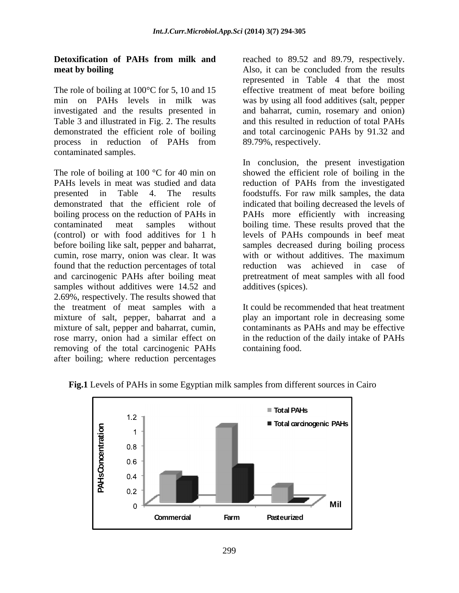The role of boiling at  $100^{\circ}$ C for 5, 10 and 15 min on PAHs levels in milk was was by using all food additives (salt, pepper investigated and the results presented in Table 3 and illustrated in Fig. 2. The results and this resulted in reduction of total PAHs demonstrated the efficient role of boiling and total carcinogenic PAHs by 91.32 and process in reduction of PAHs from 89.79%, respectively. contaminated samples.

cumin, rose marry, onion was clear. It was found that the reduction percentages of total samples without additives were 14.52 and 2.69%, respectively. The results showed that the treatment of meat samples with a mixture of salt, pepper, baharrat and a mixture of salt, pepper and baharrat, cumin, rose marry, onion had a similar effect on in the reduction of the daily intake of PAHs removing of the total carcinogenic PAHs after boiling; where reduction percentages

**Detoxification of PAHs from milk and** reached to 89.52 and 89.79, respectively. **meat by boiling** Also, it can be concluded from the results represented in Table 4 that the most effective treatment of meat before boiling and baharrat, cumin, rosemary and onion) 89.79%, respectively.

The role of boiling at 100 °C for 40 min on showed the efficient role of boiling in the PAHs levels in meat was studied and data reduction of PAHs from the investigated presented in Table 4. The results foodstuffs. For raw milk samples, the data demonstrated that the efficient role of indicated that boiling decreased the levels of boiling process on the reduction of PAHs in PAHs more efficiently with increasing contaminated meat samples without boiling time. These results proved that the (control) or with food additives for 1 h levels of PAHs compounds in beef meat before boiling like salt, pepper and baharrat, samples decreased during boiling process and carcinogenic PAHs after boiling meat pretreatment of meat samples with all food In conclusion, the present investigation with or without additives. The maximum reduction was achieved in case of additives (spices).

> It could be recommended that heat treatment play an important role in decreasing some contaminants as PAHs and may be effective containing food.



**Fig.1** Levels of PAHs in some Egyptian milk samples from different sources in Cairo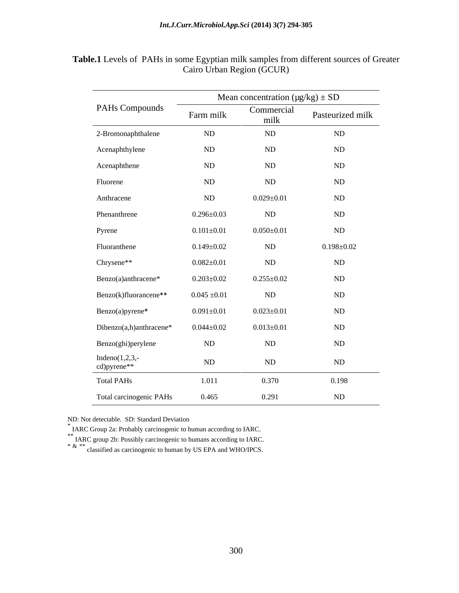|                                  | Mean concentration $(\mu g/kg) \pm SD$                                                                                                                                                                                                                                                                                                                                                                                                                                                  |                    |                        |
|----------------------------------|-----------------------------------------------------------------------------------------------------------------------------------------------------------------------------------------------------------------------------------------------------------------------------------------------------------------------------------------------------------------------------------------------------------------------------------------------------------------------------------------|--------------------|------------------------|
| PAHs Compounds                   | $\frac{1}{2} \left( \frac{1}{2} \right) \left( \frac{1}{2} \right) \left( \frac{1}{2} \right) \left( \frac{1}{2} \right) \left( \frac{1}{2} \right) \left( \frac{1}{2} \right) \left( \frac{1}{2} \right) \left( \frac{1}{2} \right) \left( \frac{1}{2} \right) \left( \frac{1}{2} \right) \left( \frac{1}{2} \right) \left( \frac{1}{2} \right) \left( \frac{1}{2} \right) \left( \frac{1}{2} \right) \left( \frac{1}{2} \right) \left( \frac{1}{2} \right) \left( \frac$<br>Farm milk | Commercial<br>milk | Pasteurized milk       |
| 2-Bromonaphthalene               | ND                                                                                                                                                                                                                                                                                                                                                                                                                                                                                      | ND                 | ND                     |
| Acenaphthylene                   | $\rm ND$                                                                                                                                                                                                                                                                                                                                                                                                                                                                                | ND                 | ND                     |
| Acenaphthene                     | $\rm ND$                                                                                                                                                                                                                                                                                                                                                                                                                                                                                | ND                 | ND                     |
| Fluorene                         | ND                                                                                                                                                                                                                                                                                                                                                                                                                                                                                      | ND                 | ND                     |
| Anthracene                       | ND                                                                                                                                                                                                                                                                                                                                                                                                                                                                                      | $0.029 \pm 0.01$   | ND                     |
| Phenanthrene                     | $0.296 \pm 0.03$                                                                                                                                                                                                                                                                                                                                                                                                                                                                        | ND                 | $\rm ND$               |
| Pyrene                           | $0.101 \pm 0.01$                                                                                                                                                                                                                                                                                                                                                                                                                                                                        | $0.050 \pm 0.01$   | ND                     |
| Fluoranthene                     | $0.149 \pm 0.02$                                                                                                                                                                                                                                                                                                                                                                                                                                                                        | ND                 | $0.198 \pm 0.02$       |
| Chrysene**                       | $0.082 \pm 0.01$                                                                                                                                                                                                                                                                                                                                                                                                                                                                        | ND                 | $\rm ND$               |
| Benzo(a)anthracene*              | $0.203 \pm 0.02$                                                                                                                                                                                                                                                                                                                                                                                                                                                                        | $0.255 \pm 0.02$   | ND                     |
| Benzo(k)fluorancene**            | $0.045 \pm 0.01$                                                                                                                                                                                                                                                                                                                                                                                                                                                                        | ND                 | ND                     |
| Benzo(a)pyrene*                  | $0.091 \pm 0.01$                                                                                                                                                                                                                                                                                                                                                                                                                                                                        | $0.023 \pm 0.01$   | $\rm ND$               |
| Dibenzo(a,h)anthracene*          | $0.044 \pm 0.02$                                                                                                                                                                                                                                                                                                                                                                                                                                                                        | $0.013 \pm 0.01$   | ND                     |
| Benzo(ghi)perylene               | ND                                                                                                                                                                                                                                                                                                                                                                                                                                                                                      | ND                 | ND                     |
| Indeno $(1,2,3,-$<br>cd)pyrene** | ND                                                                                                                                                                                                                                                                                                                                                                                                                                                                                      | ND                 | $\rm ND$               |
| <b>Total PAHs</b>                | 1.011                                                                                                                                                                                                                                                                                                                                                                                                                                                                                   | 0.370              | $\sim$ $\sim$<br>0.198 |
| Total carcinogenic PAHs          | 0.465                                                                                                                                                                                                                                                                                                                                                                                                                                                                                   | 0.291              | ND                     |

**Table.1** Levels of PAHs in some Egyptian milk samples from different sources of Greater Cairo Urban Region (GCUR)

ND: Not detectable. SD: Standard Deviation

\* IARC Group 2a: Probably carcinogenic to human according to IARC.<br>\*\* IARC group 2b: Possibly carcinogenic to humans according to IARC.<br>\* & \*\* classified as carcinogenic to human by US EPA and WHO/IPCS.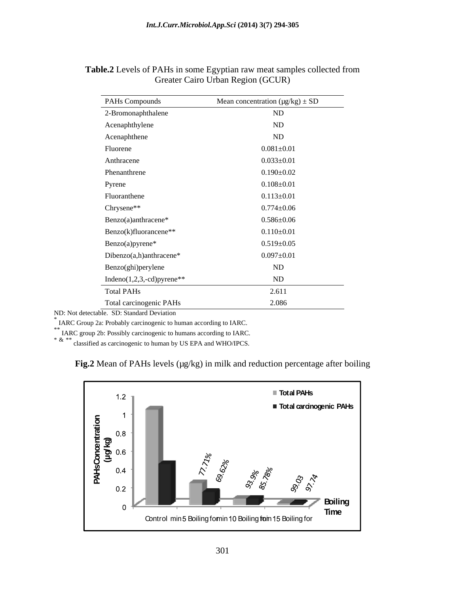| PAHs Compounds                | Mean concentration $(\mu g/kg) \pm SD$ |
|-------------------------------|----------------------------------------|
| 2-Bromonaphthalene            | ND                                     |
| Acenaphthylene                | ND                                     |
| Acenaphthene                  | ND                                     |
| Fluorene                      | $0.081 \pm 0.01$                       |
| Anthracene                    | $0.033 \pm 0.01$                       |
| Phenanthrene                  | $0.190 \pm 0.02$                       |
| Pyrene                        | $0.108 \pm 0.01$                       |
| Fluoranthene                  | $0.113 \pm 0.01$                       |
| Chrysene**                    | $0.774 \pm 0.06$                       |
| Benzo(a)anthracene*           | $0.586 \pm 0.06$                       |
| Benzo(k)fluorancene**         | $0.110\pm0.01$                         |
| Benzo(a)pyrene*               | $0.519 \pm 0.05$                       |
| Dibenzo(a,h)anthracene*       | $0.097 \pm 0.01$                       |
| Benzo(ghi)perylene            | ND                                     |
| Indeno $(1,2,3,-cd)$ pyrene** | ND                                     |
| <b>Total PAHs</b>             | 2.611                                  |
| Total carcinogenic PAHs       | 2.086                                  |

**Table.2** Levels of PAHs in some Egyptian raw meat samples collected from Greater Cairo Urban Region (GCUR)

ND: Not detectable. SD: Standard Deviation

\* IARC Group 2a: Probably carcinogenic to human according to IARC.

\*\* IARC group 2b: Possibly carcinogenic to humans according to IARC.

\* & \*\* classified as carcinogenic to human by US EPA and WHO/IPCS.



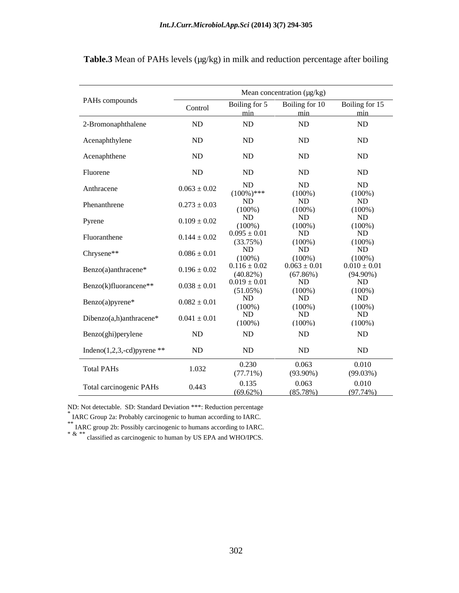|                                | Mean concentration (µg/kg) |                                 |                                 |                               |  |
|--------------------------------|----------------------------|---------------------------------|---------------------------------|-------------------------------|--|
| PAHs compounds                 | Control                    | Boiling for 5                   | Boiling for 10                  | Boiling for 15                |  |
|                                |                            | min                             | min                             | min                           |  |
| 2-Bromonaphthalene             | ND                         | ND                              | ND                              | ND                            |  |
| Acenaphthylene                 | ND                         | ND                              | ND                              | ND                            |  |
| Acenaphthene                   | ND                         | ND                              | ND                              | ND                            |  |
|                                |                            |                                 |                                 |                               |  |
| Fluorene                       | ND                         | ND                              | ND                              | ND                            |  |
| Anthracene                     | $0.063 \pm 0.02$           | ND                              | ND                              | ND                            |  |
|                                |                            | $(100\%)$ ***                   | $(100\%)$                       | $(100\%)$                     |  |
| Phenanthrene                   | $0.273 \pm 0.03$           | <b>ND</b><br>$(100\%)$          | ND<br>$(100\%)$                 | ND<br>$(100\%)$               |  |
| Pyrene                         | $0.109 \pm 0.02$           | ND                              | ND                              | ND                            |  |
|                                |                            | $(100\%)$                       | $(100\%)$<br>$N_{\rm D}$        | $\frac{(100\%)}{ND}$          |  |
| Fluoranthene                   | $0.144 \pm 0.02$           | $0.095 \pm 0.01$<br>(33.75%)    |                                 |                               |  |
| Chrysene**                     | $0.086 \pm 0.01$           | ND                              | $\frac{(100\%)}{ND}$            | $\frac{(100\%)}{ND}$          |  |
|                                |                            | $(100\%)$                       | $(100\%)$                       | $(100\%)$<br>$0.010 \pm 0.01$ |  |
| Benzo(a)anthracene*            | $0.196 \pm 0.02$           | $0.116 \pm 0.02$<br>$(40.82\%)$ | $0.063 \pm 0.01$<br>$(67.86\%)$ | $(94.90\%)$                   |  |
| Benzo(k)fluorancene**          | $0.038 \pm 0.01$           | $0.019 \pm 0.01$                | ND                              | ND                            |  |
|                                |                            | $(51.05\%)$                     | $(100\%)$                       | $\frac{(100\%)}{ND}$          |  |
| Benzo(a)pyrene*                | $0.082 \pm 0.01$           | ND<br>$(100\%)$                 | ND<br>$(100\%)$                 | $(100\%)$                     |  |
| Dibenzo(a,h)anthracene*        | $0.041 \pm 0.01$           | ND                              | ND                              | ND                            |  |
|                                |                            | $(100\%)$                       | $(100\%)$                       | $(100\%)$                     |  |
| Benzo(ghi)perylene             | ND                         | ND                              | ND                              | ND                            |  |
| Indeno $(1,2,3,-cd)$ pyrene ** | $\rm ND$                   | ND                              | ND                              | ND                            |  |
| <b>Total PAHs</b>              | 1.032                      | 0.230                           | 0.063                           | 0.010                         |  |
|                                |                            | (77.71%)                        | $(93.90\%)$                     | (99.03%)                      |  |
| Total carcinogenic PAHs        | 0.443                      | 0.135                           | 0.063                           | 0.010                         |  |
|                                |                            | $(69.62\%)$                     | $(85.78\%)$                     | $(97.74\%)$                   |  |

Table.3 Mean of PAHs levels (µg/kg) in milk and reduction percentage after boiling

ND: Not detectable. SD: Standard Deviation \*\*\*: Reduction percentage

<sup>\*</sup> IARC Group 2a: Probably carcinogenic to human according to IARC.  $*$  IARC group 2b: Possibly carcinogenic to humans according to IARC.  $*$  & \*\* classified as carcinogenic to human by US EPA and WHO/IPCS.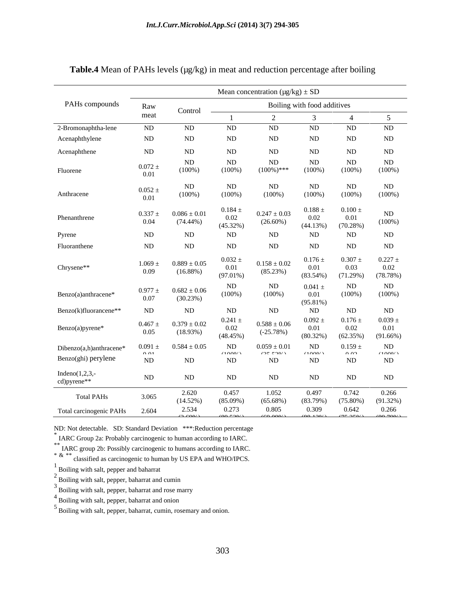|                                                | Mean concentration $(\mu g/kg) \pm SD$      |                                 |                                                                                                                                                                                                                                                                                                                                                                                                                                                                                                                                                        |                                          |                                        |                                                   |                                    |  |
|------------------------------------------------|---------------------------------------------|---------------------------------|--------------------------------------------------------------------------------------------------------------------------------------------------------------------------------------------------------------------------------------------------------------------------------------------------------------------------------------------------------------------------------------------------------------------------------------------------------------------------------------------------------------------------------------------------------|------------------------------------------|----------------------------------------|---------------------------------------------------|------------------------------------|--|
| PAHs compounds                                 | Raw                                         | Control                         | the contract of the contract of the<br>Boiling with food additives                                                                                                                                                                                                                                                                                                                                                                                                                                                                                     |                                          |                                        |                                                   |                                    |  |
|                                                | meat                                        |                                 | $\begin{array}{l} \begin{array}{c} \begin{array}{c} \begin{array}{c} \end{array} \\ \end{array} \end{array} \end{array} \end{array} \end{array} \begin{array}{l} \begin{array}{c} \begin{array}{c} \end{array} \\ \end{array} \end{array} \end{array} \begin{array}{c} \begin{array}{c} \begin{array}{c} \end{array} \\ \end{array} \end{array} \end{array} \begin{array}{c} \begin{array}{c} \begin{array}{c} \end{array} \\ \end{array} \end{array} \end{array} \begin{array}{c} \begin{array}{c} \begin{array}{c} \end{array} \\ \end{array} \end{$ |                                          |                                        |                                                   |                                    |  |
| 2-Bromonaphtha-lene                            | ND                                          | ND                              | ND                                                                                                                                                                                                                                                                                                                                                                                                                                                                                                                                                     | ND                                       | ND                                     | ND                                                | ND                                 |  |
| Acenaphthylene                                 | ND                                          | ND                              | ND                                                                                                                                                                                                                                                                                                                                                                                                                                                                                                                                                     | ND                                       | ND                                     | ND                                                | ND                                 |  |
| Acenaphthene                                   | ND                                          | ND                              | ND                                                                                                                                                                                                                                                                                                                                                                                                                                                                                                                                                     | ND                                       | ND                                     | ND                                                | ND                                 |  |
| Fluorene                                       | $0.072$ $\pm$<br>0.01                       | ND<br>$(100\%)$                 | ND<br>$(100\%)$                                                                                                                                                                                                                                                                                                                                                                                                                                                                                                                                        | ND<br>$(100\%)$ ***                      | ND<br>$(100\%)$                        | ND<br>$(100\%)$                                   | ND<br>$(100\%)$                    |  |
| Anthracene                                     | $0.052 \pm 0.01$                            | ND<br>$(100\%)$                 | ND<br>$(100\%)$                                                                                                                                                                                                                                                                                                                                                                                                                                                                                                                                        | $\rm ND$<br>$(100\%)$                    | ND<br>$(100\%)$                        | ND<br>$(100\%)$                                   | ND<br>$(100\%)$                    |  |
| Phenanthrene                                   | $0.337 \pm$<br>0.04                         | $0.086 \pm 0.01$<br>$(74.44\%)$ | $0.184 \pm$<br>$0.02\,$<br>(45.32%)                                                                                                                                                                                                                                                                                                                                                                                                                                                                                                                    | $0.247 \pm 0.03$<br>$(26.60\%)$          | $0.188 \pm$<br>0.02<br>(44.13%)        | $0.100 \pm$<br>0.01<br>(70.28%)                   | ND<br>$(100\%)$                    |  |
| Pyrene                                         | ND                                          | ND                              | ND                                                                                                                                                                                                                                                                                                                                                                                                                                                                                                                                                     | ND                                       | ND                                     | ND                                                | ND                                 |  |
| Fluoranthene                                   | ND                                          | ND                              | ND                                                                                                                                                                                                                                                                                                                                                                                                                                                                                                                                                     | ND                                       | ND                                     | ND                                                | ND                                 |  |
| Chrysene**                                     | $1.069 \pm$<br>0.09                         | $0.889 \pm 0.05$<br>(16.88%)    | $0.032 \pm$<br>$0.01\,$<br>$(97.01\%)$                                                                                                                                                                                                                                                                                                                                                                                                                                                                                                                 | $0.158 \pm 0.02$<br>(85.23%)             | $0.176 \pm$<br>$0.01\,$<br>$(83.54\%)$ | 0.307<br>0.03<br>(71.29%)                         | $0.227 =$<br>0.02<br>(78.78%)      |  |
| Benzo(a)anthracene*                            | $0.977 \pm$<br>0.07                         | $0.682 \pm 0.06$<br>(30.23%)    | ND<br>$(100\%)$                                                                                                                                                                                                                                                                                                                                                                                                                                                                                                                                        | ND<br>$(100\%)$                          | $0.041 =$<br>0.01<br>$(95.81\%)$       | ND<br>$(100\%)$                                   | ND<br>$(100\%)$                    |  |
| Benzo(k)fluorancene**                          | ND                                          | <b>ND</b>                       | ND                                                                                                                                                                                                                                                                                                                                                                                                                                                                                                                                                     | ND                                       | ND                                     | ND                                                | ND                                 |  |
| Benzo(a)pyrene*                                | $0.467 \pm$<br>0.05                         | $0.379 \pm 0.02$<br>(18.93%)    | $0.241 \pm$<br>$0.02\,$<br>(48.45%)                                                                                                                                                                                                                                                                                                                                                                                                                                                                                                                    | $0.588\pm0.06$<br>$(-25.78%)$            | $0.092 \pm$<br>0.01<br>$(80.32\%)$     | $0.176$ $\pm$<br>0.02<br>(62.35%)                 | $0.039 \pm$<br>0.01<br>$(91.66\%)$ |  |
| Dibenzo(a,h)anthracene*<br>Benzo(ghi) perylene | 0.091:<br>$\bigcap$ $\bigcap$ 1<br>$\rm ND$ | $0.584 \pm 0.05$<br>$\rm ND$    | ND<br>(1000)<br>ND                                                                                                                                                                                                                                                                                                                                                                                                                                                                                                                                     | $0.059 \pm 0.01$<br>195.5901<br>$\rm ND$ | ND<br>(1000)<br>$\rm ND$               | 0.159<br>0.02<br>ND                               | ND<br>(1000)<br>ND                 |  |
| Indeno $(1,2,3,$<br>cd)pyrene**                | ND                                          | $\rm ND$                        | $\rm ND$                                                                                                                                                                                                                                                                                                                                                                                                                                                                                                                                               | ND                                       | $\rm ND$                               | $\rm ND$                                          | ND                                 |  |
| <b>Total PAHs</b>                              | 3.065                                       | 2.620<br>(14.52%)               | 0.457<br>$(85.09\%)$                                                                                                                                                                                                                                                                                                                                                                                                                                                                                                                                   | 1.052<br>$(65.68\%)$                     | 0.497<br>(83.79%)                      | 0.742<br>$(75.80\%)$                              | 0.266<br>$(91.32\%)$               |  |
| Total carcinogenic PAHs                        | 2.604                                       | 2.534<br>$\sqrt{2}$             | 0.273<br>(00.581)                                                                                                                                                                                                                                                                                                                                                                                                                                                                                                                                      | 0.805<br>$\sim$ 000 $\sim$               | 0.309                                  | 0.642<br>$(0.0, 1.00)$ $(7.5, 0.50)$ $(0.0, 700)$ | 0.266                              |  |

### **Table.4** Mean of PAHs levels ( $\mu$ g/kg) in meat and reduction percentage after boiling

ND: Not detectable. SD: Standard Deviation \*\*\*:Reduction percentage \*<br>\* LABG Gazen 2: Prakakly assignment is because assessing to LABG

IARC Group 2a: Probably carcinogenic to human according to IARC.<br>  $*$  IARC group 2b: Possibly carcinogenic to humans according to IARC.<br>  $*$  &  $*$  classified as carcinogenic to human by US EPA and WHO/IPCS.

 $^{\rm 1}$  Boiling with salt, pepper and baharrat

 $2 \frac{\text{D} \text{sum}}{\text{B} \text{oiling with salt, pepper, baharrat and cumin}}$ 

 $3$  Boiling with salt, pepper, baharrat and rose marry

4 Boiling with salt, pepper, baharrat and onion

5 Boiling with salt, pepper, baharrat, cumin, rosemary and onion.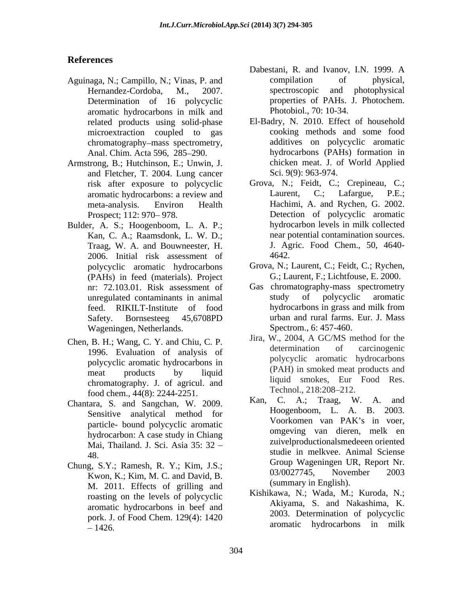## **References**

- Aguinaga, N.; Campillo, N.; Vinas, P. and compilation of physical,<br>Hernandez-Cordoba. M., 2007. spectroscopic and photophysical Hernandez-Cordoba, M., 2007. Determination of 16 polycyclic aromatic hydrocarbons in milk and related products using solid-phase chromatography-mass spectrometry,
- Armstrong, B.; Hutchinson, E.; Unwin, J. and Fletcher, T. 2004. Lung cancer risk after exposure to polycyclic
- Bulder, A. S.; Hoogenboom, L. A. P.; Kan, C. A.; Raamsdonk, L. W. D.; Traag, W. A. and Bouwneester, H. 2006. Initial risk assessment of (PAHs) in feed (materials). Project Wageningen, Netherlands.
- Chen, B. H.; Wang, C. Y. and Chiu, C. P.<br>1006 Evelyption of prologies of the determination of carcinogenic 1996. Evaluation of analysis of polycyclic aromatic hydrocarbons in chromatography. J. of agricul. and  $\frac{1}{2}$  in  $\frac{1}{2}$  chromatography. 2014. 2015.
- Chantara, S. and Sangchan, W. 2009. particle- bound polycyclic aromatic Mai, Thailand. J. Sci. Asia 35: 32
- Chung, S.Y.; Ramesh, R. Y.; Kim, J.S.;<br>
Chung, S.Y.; Ramesh, R. Y.; Kim, J.S.;<br>  $03/0027745$ . November 2003 Kwon, K.; Kim, M. C. and David, B. M. 2011. Effects of grilling and roasting on the levels of polycyclic aromatic hydrocarbons in beef and pork. J. of Food Chem. 129(4): 1420 1426. aromatic hydrocarbons in milk
- Dabestani, R. and Ivanov, I.N. 1999. A compilation of physical, spectroscopic and photophysical properties of PAHs. J. Photochem. Photobiol., 70: 10-34.
- microextraction coupled to gas cooking methods and some food Anal. Chim. Acta 596, 285–290. hydrocarbons (PAHs) formation in El-Badry, N. 2010. Effect of household additives on polycyclic aromatic chicken meat. J. of World Applied Sci. 9(9): 963-974.
- aromatic hydrocarbons: a review and Laurent, C.; Lafargue, P.E.; meta-analysis. Environ Health Hachimi, A. and Rychen, G. 2002. Prospect; 112: 970–978. Detection of polycyclic aromatic Grova, N.; Feidt, C.; Crepineau, C.; Laurent, C.; Lafargue, P.E.; hydrocarbon levels in milk collected near potential contamination sources. J. Agric. Food Chem., 50, 4640- 4642.
- polycyclic aromatic hydrocarbons Grova, N.; Laurent, C.; Feidt, C.; Rychen, G.; Laurent, F.; Lichtfouse, E. 2000.
- nr: 72.103.01. Risk assessment of Gas chromatography-mass spectrometry unregulated contaminants in animal study of polycyclic aromatic feed. RIKILT-Institute of food Safety. Bornsesteeg 45,6708PD study of polycyclic aromatic hydrocarbons in grass and milk from urban and rural farms. Eur. J. Mass Spectrom., 6: 457-460.
- meat products by liquid  $(PAH)$  in smoked meat products and Jira, W., 2004, A GC/MS method for the determination of carcinogenic polycyclic aromatic hydrocarbons (PAH) in smoked meat products and liquid smokes, Eur Food Res. Technol., 218:208–212.
- food chem., 44(8): 2244-2251.<br> **EXALCOREGIST:** France S. and Sangeben W. 2000. **Kan.** C. A.; Traag. W. A. and Sensitive analytical method for the non-<br>non-<br>Noorkomen van PAK's in voer, hydrocarbon: A case study in Chiang only only wan different melk en 48. studie in melkvee. Animal Sciense Kan, C. A.; Traag, W. A. Hoogenboom, L. A. B. 2003. Voorkomen van PAK's in voer, omgeving van dieren, melk en zuivelproductionalsmedeeen oriented Group Wageningen UR, Report Nr. 03/0027745, November 2003 (summary in English).
	- Kishikawa, N.; Wada, M.; Kuroda, N.; Akiyama, S. and Nakashima, K. 2003. Determination of polycyclic